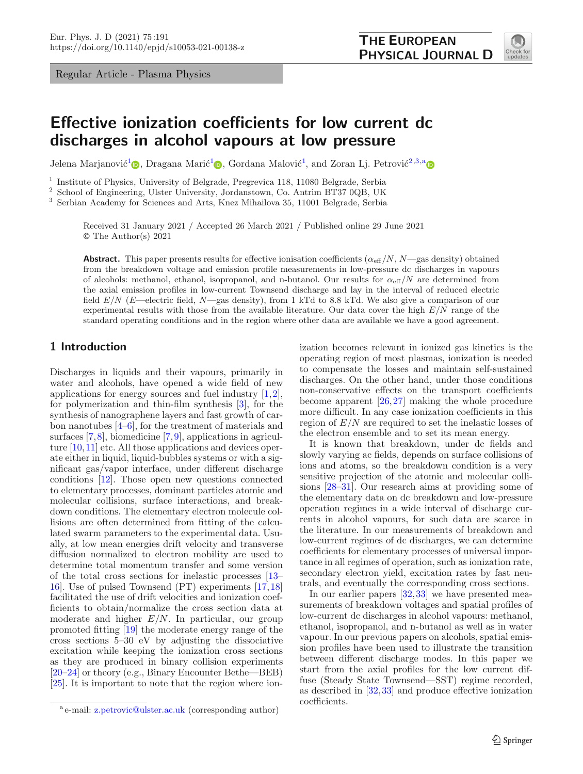Regular Article - Plasma Physics

<span id="page-0-1"></span><span id="page-0-0"></span>

# **Effective ionization coefficients for low current dc discharges in alcohol vapours at low pressure**

Jelena Marjanović<sup>[1](#page-0-0)</sup> $\circledcirc$ [,](http://orcid.org/0000-0001-7872-2220) Dr[a](https://orcid.org/0000-0001-6569-9447)gana Marić<sup>1</sup> $\circledcirc$ , Gordana Malović<sup>1</sup>, and Zoran Lj. Petrović<sup>[2](#page-0-0)[,3,](#page-0-1)a</sup> $\circledcirc$ 

<sup>1</sup> Institute of Physics, University of Belgrade, Pregrevica 118, 11080 Belgrade, Serbia<br><sup>2</sup> School of Engineering, Ulster University, Jordanstown, Co., Antrim BT37,0OB, UK

<sup>2</sup> School of Engineering, Ulster University, Jordanstown, Co. Antrim BT37 0QB, UK

<sup>3</sup> Serbian Academy for Sciences and Arts, Knez Mihailova 35, 11001 Belgrade, Serbia

Received 31 January 2021 / Accepted 26 March 2021 / Published online 29 June 2021 © The Author(s) 2021

**Abstract.** This paper presents results for effective ionisation coefficients  $(\alpha_{\text{eff}}/N, N$ —gas density) obtained from the breakdown voltage and emission profile measurements in low-pressure dc discharges in vapours of alcohols: methanol, ethanol, isopropanol, and n-butanol. Our results for  $\alpha_{\text{eff}}/N$  are determined from the axial emission profiles in low-current Townsend discharge and lay in the interval of reduced electric field  $E/N$  (E—electric field, N—gas density), from 1 kTd to 8.8 kTd. We also give a comparison of our experimental results with those from the available literature. Our data cover the high  $E/N$  range of the standard operating conditions and in the region where other data are available we have a good agreement.

## **1 Introduction**

Discharges in liquids and their vapours, primarily in water and alcohols, have opened a wide field of new applications for energy sources and fuel industry  $[1,2]$  $[1,2]$ , for polymerization and thin-film synthesis [\[3](#page-5-2)], for the synthesis of nanographene layers and fast growth of carbon nanotubes [\[4](#page-5-3)[–6\]](#page-5-4), for the treatment of materials and surfaces [\[7,](#page-5-5)[8](#page-5-6)], biomedicine [\[7](#page-5-5),[9\]](#page-5-7), applications in agriculture  $[10, 11]$  $[10, 11]$  $[10, 11]$  etc. All those applications and devices operate either in liquid, liquid-bubbles systems or with a significant gas/vapor interface, under different discharge conditions [\[12\]](#page-5-10). Those open new questions connected to elementary processes, dominant particles atomic and molecular collisions, surface interactions, and breakdown conditions. The elementary electron molecule collisions are often determined from fitting of the calculated swarm parameters to the experimental data. Usually, at low mean energies drift velocity and transverse diffusion normalized to electron mobility are used to determine total momentum transfer and some version of the total cross sections for inelastic processes [\[13](#page-5-11)– [16](#page-5-12)]. Use of pulsed Townsend (PT) experiments [\[17](#page-5-13)[,18](#page-5-14)] facilitated the use of drift velocities and ionization coefficients to obtain/normalize the cross section data at moderate and higher  $E/N$ . In particular, our group promoted fitting [\[19](#page-5-15)] the moderate energy range of the cross sections 5–30 eV by adjusting the dissociative excitation while keeping the ionization cross sections as they are produced in binary collision experiments [\[20](#page-5-16)[–24\]](#page-5-17) or theory (e.g., Binary Encounter Bethe—BEB) [\[25\]](#page-5-18). It is important to note that the region where ionization becomes relevant in ionized gas kinetics is the operating region of most plasmas, ionization is needed to compensate the losses and maintain self-sustained discharges. On the other hand, under those conditions non-conservative effects on the transport coefficients become apparent [\[26,](#page-5-19)[27\]](#page-5-20) making the whole procedure more difficult. In any case ionization coefficients in this region of  $E/N$  are required to set the inelastic losses of the electron ensemble and to set its mean energy.

It is known that breakdown, under dc fields and slowly varying ac fields, depends on surface collisions of ions and atoms, so the breakdown condition is a very sensitive projection of the atomic and molecular collisions [\[28](#page-5-21)[–31\]](#page-6-0). Our research aims at providing some of the elementary data on dc breakdown and low-pressure operation regimes in a wide interval of discharge currents in alcohol vapours, for such data are scarce in the literature. In our measurements of breakdown and low-current regimes of dc discharges, we can determine coefficients for elementary processes of universal importance in all regimes of operation, such as ionization rate, secondary electron yield, excitation rates by fast neutrals, and eventually the corresponding cross sections.

In our earlier papers [\[32](#page-6-1)[,33](#page-6-2)] we have presented measurements of breakdown voltages and spatial profiles of low-current dc discharges in alcohol vapours: methanol, ethanol, isopropanol, and n-butanol as well as in water vapour. In our previous papers on alcohols, spatial emission profiles have been used to illustrate the transition between different discharge modes. In this paper we start from the axial profiles for the low current diffuse (Steady State Townsend—SST) regime recorded, as described in [\[32](#page-6-1)[,33](#page-6-2)] and produce effective ionization coefficients.

<sup>a</sup> e-mail: [z.petrovic@ulster.ac.uk](mailto:z.petrovic@ulster.ac.uk) (corresponding author)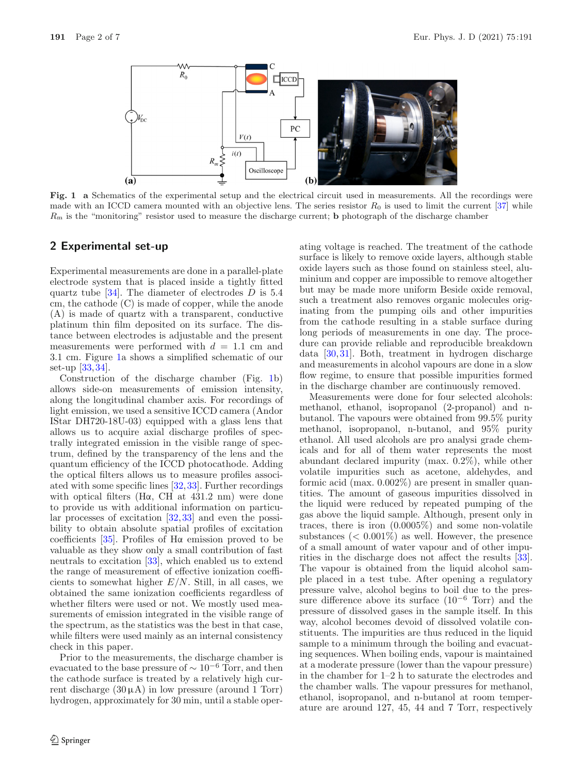

<span id="page-1-0"></span>**Fig. 1 a** Schematics of the experimental setup and the electrical circuit used in measurements. All the recordings were made with an ICCD camera mounted with an objective lens. The series resistor  $R_0$  is used to limit the current [\[37](#page-6-3)] while R<sup>m</sup> is the "monitoring" resistor used to measure the discharge current; **b** photograph of the discharge chamber

### **2 Experimental set-up**

Experimental measurements are done in a parallel-plate electrode system that is placed inside a tightly fitted quartz tube  $[34]$ . The diameter of electrodes D is 5.4 cm, the cathode (C) is made of copper, while the anode (A) is made of quartz with a transparent, conductive platinum thin film deposited on its surface. The distance between electrodes is adjustable and the present measurements were performed with  $d = 1.1$  cm and 3.1 cm. Figure [1a](#page-1-0) shows a simplified schematic of our set-up [\[33](#page-6-2)[,34](#page-6-4)].

Construction of the discharge chamber (Fig. [1b](#page-1-0)) allows side-on measurements of emission intensity, along the longitudinal chamber axis. For recordings of light emission, we used a sensitive ICCD camera (Andor IStar DH720-18U-03) equipped with a glass lens that allows us to acquire axial discharge profiles of spectrally integrated emission in the visible range of spectrum, defined by the transparency of the lens and the quantum efficiency of the ICCD photocathode. Adding the optical filters allows us to measure profiles associated with some specific lines [\[32](#page-6-1)[,33](#page-6-2)]. Further recordings with optical filters (H $\alpha$ , CH at 431.2 nm) were done to provide us with additional information on particular processes of excitation [\[32](#page-6-1)[,33](#page-6-2)] and even the possibility to obtain absolute spatial profiles of excitation coefficients [\[35](#page-6-5)]. Profiles of Hα emission proved to be valuable as they show only a small contribution of fast neutrals to excitation [\[33\]](#page-6-2), which enabled us to extend the range of measurement of effective ionization coefficients to somewhat higher  $E/N$ . Still, in all cases, we obtained the same ionization coefficients regardless of whether filters were used or not. We mostly used measurements of emission integrated in the visible range of the spectrum, as the statistics was the best in that case, while filters were used mainly as an internal consistency check in this paper.

Prior to the measurements, the discharge chamber is evacuated to the base pressure of <sup>∼</sup> <sup>10</sup>*−*<sup>6</sup> Torr, and then the cathode surface is treated by a relatively high current discharge  $(30 \mu A)$  in low pressure (around 1 Torr) hydrogen, approximately for 30 min, until a stable operating voltage is reached. The treatment of the cathode surface is likely to remove oxide layers, although stable oxide layers such as those found on stainless steel, aluminium and copper are impossible to remove altogether but may be made more uniform Beside oxide removal, such a treatment also removes organic molecules originating from the pumping oils and other impurities from the cathode resulting in a stable surface during long periods of measurements in one day. The procedure can provide reliable and reproducible breakdown data [\[30](#page-5-22)[,31](#page-6-0)]. Both, treatment in hydrogen discharge and measurements in alcohol vapours are done in a slow flow regime, to ensure that possible impurities formed in the discharge chamber are continuously removed.

Measurements were done for four selected alcohols: methanol, ethanol, isopropanol (2-propanol) and nbutanol. The vapours were obtained from 99.5% purity methanol, isopropanol, n-butanol, and 95% purity ethanol. All used alcohols are pro analysi grade chemicals and for all of them water represents the most abundant declared impurity (max. 0.2%), while other volatile impurities such as acetone, aldehydes, and formic acid (max. 0.002%) are present in smaller quantities. The amount of gaseous impurities dissolved in the liquid were reduced by repeated pumping of the gas above the liquid sample. Although, present only in traces, there is iron (0.0005%) and some non-volatile substances  $(< 0.001\%)$  as well. However, the presence of a small amount of water vapour and of other impurities in the discharge does not affect the results [\[33\]](#page-6-2). The vapour is obtained from the liquid alcohol sample placed in a test tube. After opening a regulatory pressure valve, alcohol begins to boil due to the pressure difference above its surface (10*−*<sup>6</sup> Torr) and the pressure of dissolved gases in the sample itself. In this way, alcohol becomes devoid of dissolved volatile constituents. The impurities are thus reduced in the liquid sample to a minimum through the boiling and evacuating sequences. When boiling ends, vapour is maintained at a moderate pressure (lower than the vapour pressure) in the chamber for 1–2 h to saturate the electrodes and the chamber walls. The vapour pressures for methanol, ethanol, isopropanol, and n-butanol at room temperature are around 127, 45, 44 and 7 Torr, respectively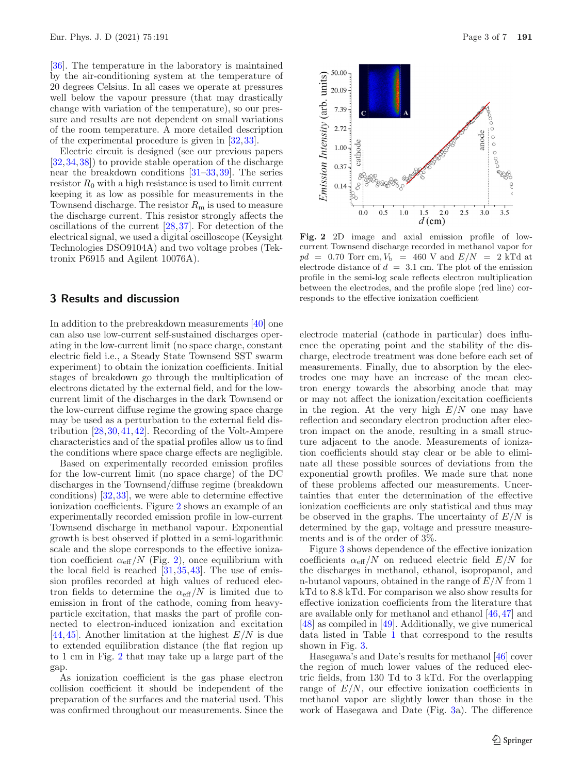[\[36\]](#page-6-6). The temperature in the laboratory is maintained by the air-conditioning system at the temperature of 20 degrees Celsius. In all cases we operate at pressures well below the vapour pressure (that may drastically change with variation of the temperature), so our pressure and results are not dependent on small variations of the room temperature. A more detailed description of the experimental procedure is given in [\[32](#page-6-1)[,33](#page-6-2)].

Electric circuit is designed (see our previous papers [\[32,](#page-6-1)[34](#page-6-4)[,38](#page-6-7)]) to provide stable operation of the discharge near the breakdown conditions [\[31](#page-6-0)[–33](#page-6-2)[,39](#page-6-8)]. The series resistor  $R_0$  with a high resistance is used to limit current keeping it as low as possible for measurements in the Townsend discharge. The resistor  $R<sub>m</sub>$  is used to measure the discharge current. This resistor strongly affects the oscillations of the current [\[28](#page-5-21),[37\]](#page-6-3). For detection of the electrical signal, we used a digital oscilloscope (Keysight Technologies DSO9104A) and two voltage probes (Tektronix P6915 and Agilent 10076A).

#### **3 Results and discussion**

In addition to the prebreakdown measurements [\[40\]](#page-6-9) one can also use low-current self-sustained discharges operating in the low-current limit (no space charge, constant electric field i.e., a Steady State Townsend SST swarm experiment) to obtain the ionization coefficients. Initial stages of breakdown go through the multiplication of electrons dictated by the external field, and for the lowcurrent limit of the discharges in the dark Townsend or the low-current diffuse regime the growing space charge may be used as a perturbation to the external field distribution [\[28](#page-5-21),[30,](#page-5-22)[41](#page-6-10)[,42](#page-6-11)]. Recording of the Volt-Ampere characteristics and of the spatial profiles allow us to find the conditions where space charge effects are negligible.

Based on experimentally recorded emission profiles for the low-current limit (no space charge) of the DC discharges in the Townsend/diffuse regime (breakdown conditions) [\[32](#page-6-1),[33\]](#page-6-2), we were able to determine effective ionization coefficients. Figure [2](#page-2-0) shows an example of an experimentally recorded emission profile in low-current Townsend discharge in methanol vapour. Exponential growth is best observed if plotted in a semi-logarithmic scale and the slope corresponds to the effective ionization coefficient  $\alpha_{\text{eff}}/N$  (Fig. [2\)](#page-2-0), once equilibrium with the local field is reached  $[31,35,43]$  $[31,35,43]$  $[31,35,43]$  $[31,35,43]$ . The use of emission profiles recorded at high values of reduced electron fields to determine the  $\alpha_{\text{eff}}/N$  is limited due to emission in front of the cathode, coming from heavyparticle excitation, that masks the part of profile connected to electron-induced ionization and excitation [\[44,](#page-6-13)[45](#page-6-14)]. Another limitation at the highest  $E/N$  is due to extended equilibration distance (the flat region up to 1 cm in Fig. [2](#page-2-0) that may take up a large part of the gap.

As ionization coefficient is the gas phase electron collision coefficient it should be independent of the preparation of the surfaces and the material used. This was confirmed throughout our measurements. Since the



<span id="page-2-0"></span>**Fig. 2** 2D image and axial emission profile of lowcurrent Townsend discharge recorded in methanol vapor for  $pd = 0.70$  Torr cm,  $V<sub>b</sub> = 460$  V and  $E/N = 2$  kTd at electrode distance of  $d = 3.1$  cm. The plot of the emission profile in the semi-log scale reflects electron multiplication between the electrodes, and the profile slope (red line) corresponds to the effective ionization coefficient

electrode material (cathode in particular) does influence the operating point and the stability of the discharge, electrode treatment was done before each set of measurements. Finally, due to absorption by the electrodes one may have an increase of the mean electron energy towards the absorbing anode that may or may not affect the ionization/excitation coefficients in the region. At the very high  $E/N$  one may have reflection and secondary electron production after electron impact on the anode, resulting in a small structure adjacent to the anode. Measurements of ionization coefficients should stay clear or be able to eliminate all these possible sources of deviations from the exponential growth profiles. We made sure that none of these problems affected our measurements. Uncertainties that enter the determination of the effective ionization coefficients are only statistical and thus may be observed in the graphs. The uncertainty of  $E/N$  is determined by the gap, voltage and pressure measurements and is of the order of 3%.

Figure [3](#page-3-0) shows dependence of the effective ionization coefficients  $\alpha_{\text{eff}}/N$  on reduced electric field  $E/N$  for the discharges in methanol, ethanol, isopropanol, and n-butanol vapours, obtained in the range of  $E/N$  from 1 kTd to 8.8 kTd. For comparison we also show results for effective ionization coefficients from the literature that are available only for methanol and ethanol [\[46,](#page-6-15)[47\]](#page-6-16) and [\[48\]](#page-6-17) as compiled in [\[49](#page-6-18)]. Additionally, we give numerical data listed in Table [1](#page-4-0) that correspond to the results shown in Fig. [3.](#page-3-0)

Hasegawa's and Date's results for methanol [\[46\]](#page-6-15) cover the region of much lower values of the reduced electric fields, from 130 Td to 3 kTd. For the overlapping range of  $E/N$ , our effective ionization coefficients in methanol vapor are slightly lower than those in the work of Hasegawa and Date (Fig. [3a](#page-3-0)). The difference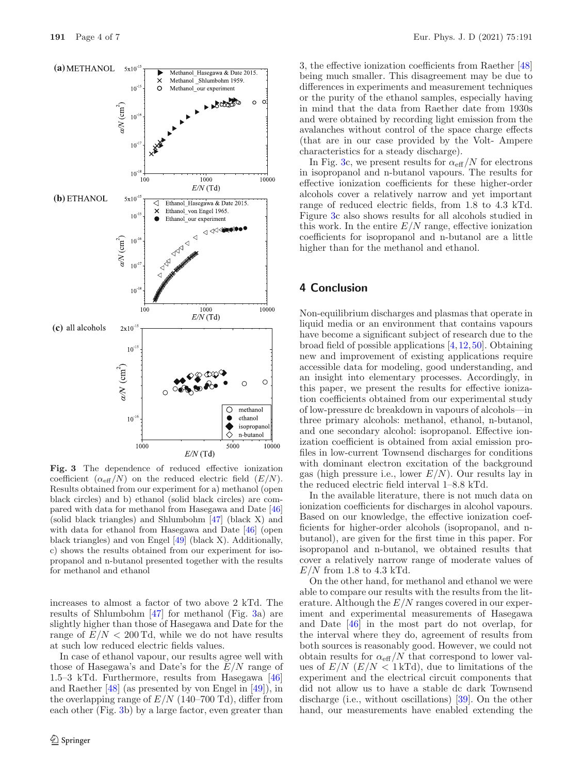

<span id="page-3-0"></span>**Fig. 3** The dependence of reduced effective ionization coefficient  $(\alpha_{\text{eff}}/N)$  on the reduced electric field  $(E/N)$ . Results obtained from our experiment for a) methanol (open black circles) and b) ethanol (solid black circles) are compared with data for methanol from Hasegawa and Date [\[46\]](#page-6-15) (solid black triangles) and Shlumbohm [\[47](#page-6-16)] (black X) and with data for ethanol from Hasegawa and Date [\[46](#page-6-15)] (open black triangles) and von Engel [\[49](#page-6-18)] (black X). Additionally, c) shows the results obtained from our experiment for isopropanol and n-butanol presented together with the results for methanol and ethanol

increases to almost a factor of two above 2 kTd. The results of Shlumbohm [\[47\]](#page-6-16) for methanol (Fig. [3a](#page-3-0)) are slightly higher than those of Hasegawa and Date for the range of  $E/N < 200$  Td, while we do not have results at such low reduced electric fields values.

In case of ethanol vapour, our results agree well with those of Hasegawa's and Date's for the  $E/N$  range of 1.5–3 kTd. Furthermore, results from Hasegawa [\[46](#page-6-15)] and Raether [\[48](#page-6-17)] (as presented by von Engel in [\[49\]](#page-6-18)), in the overlapping range of  $E/N$  (140–700 Td), differ from each other (Fig. [3b](#page-3-0)) by a large factor, even greater than

3, the effective ionization coefficients from Raether [\[48](#page-6-17)] being much smaller. This disagreement may be due to differences in experiments and measurement techniques or the purity of the ethanol samples, especially having in mind that the data from Raether date from 1930s and were obtained by recording light emission from the avalanches without control of the space charge effects (that are in our case provided by the Volt- Ampere characteristics for a steady discharge).

In Fig. [3c](#page-3-0), we present results for  $\alpha_{\text{eff}}/N$  for electrons in isopropanol and n-butanol vapours. The results for effective ionization coefficients for these higher-order alcohols cover a relatively narrow and yet important range of reduced electric fields, from 1.8 to 4.3 kTd. Figure [3c](#page-3-0) also shows results for all alcohols studied in this work. In the entire  $E/N$  range, effective ionization coefficients for isopropanol and n-butanol are a little higher than for the methanol and ethanol.

#### **4 Conclusion**

Non-equilibrium discharges and plasmas that operate in liquid media or an environment that contains vapours have become a significant subject of research due to the broad field of possible applications [\[4,](#page-5-3)[12,](#page-5-10)[50](#page-6-19)]. Obtaining new and improvement of existing applications require accessible data for modeling, good understanding, and an insight into elementary processes. Accordingly, in this paper, we present the results for effective ionization coefficients obtained from our experimental study of low-pressure dc breakdown in vapours of alcohols—in three primary alcohols: methanol, ethanol, n-butanol, and one secondary alcohol: isopropanol. Effective ionization coefficient is obtained from axial emission profiles in low-current Townsend discharges for conditions with dominant electron excitation of the background gas (high pressure i.e., lower  $E/N$ ). Our results lay in the reduced electric field interval 1–8.8 kTd.

In the available literature, there is not much data on ionization coefficients for discharges in alcohol vapours. Based on our knowledge, the effective ionization coefficients for higher-order alcohols (isopropanol, and nbutanol), are given for the first time in this paper. For isopropanol and n-butanol, we obtained results that cover a relatively narrow range of moderate values of  $E/N$  from 1.8 to 4.3 kTd.

On the other hand, for methanol and ethanol we were able to compare our results with the results from the literature. Although the  $E/N$  ranges covered in our experiment and experimental measurements of Hasegawa and Date [\[46](#page-6-15)] in the most part do not overlap, for the interval where they do, agreement of results from both sources is reasonably good. However, we could not obtain results for  $\alpha_{\text{eff}}/N$  that correspond to lower values of  $E/N$  ( $E/N$  < 1 kTd), due to limitations of the experiment and the electrical circuit components that did not allow us to have a stable dc dark Townsend discharge (i.e., without oscillations) [\[39](#page-6-8)]. On the other hand, our measurements have enabled extending the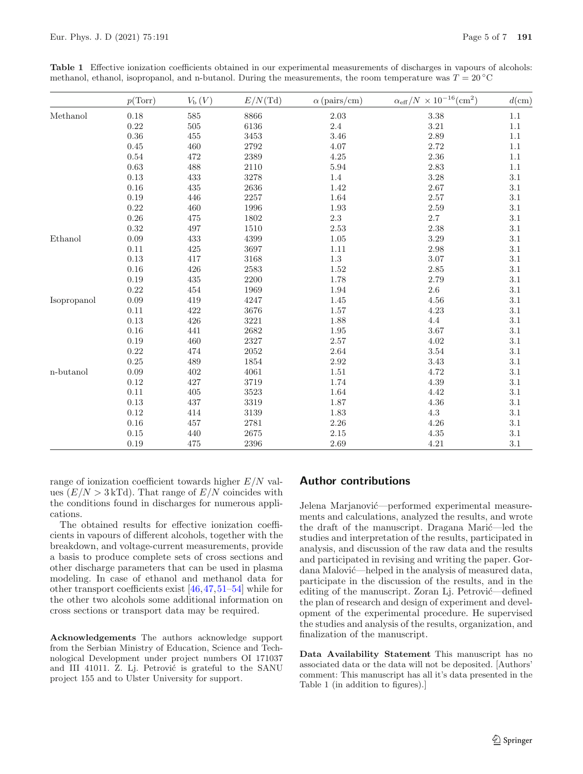|              | p(Torr)  | $V_{\rm b}(V)$ | E/N(Td)  | $\alpha$ (pairs/cm) | $\alpha_{\text{eff}}/N\,\times 10^{-16} (\text{cm}^2)$ | $d$ (cm) |
|--------------|----------|----------------|----------|---------------------|--------------------------------------------------------|----------|
| Methanol     | $0.18\,$ | 585            | 8866     | 2.03                | $3.38\,$                                               | $1.1\,$  |
|              | $0.22\,$ | 505            | 6136     | $2.4\,$             | $3.21\,$                                               | $1.1\,$  |
|              | $0.36\,$ | 455            | 3453     | 3.46                | 2.89                                                   | 1.1      |
|              | 0.45     | 460            | 2792     | 4.07                | 2.72                                                   | 1.1      |
|              | 0.54     | 472            | 2389     | 4.25                | $2.36\,$                                               | 1.1      |
|              | 0.63     | 488            | 2110     | $5.94\,$            | 2.83                                                   | $1.1\,$  |
|              | 0.13     | 433            | 3278     | 1.4                 | 3.28                                                   | $3.1\,$  |
|              | $0.16\,$ | 435            | 2636     | 1.42                | $2.67\,$                                               | $3.1\,$  |
|              | 0.19     | 446            | 2257     | 1.64                | $2.57\,$                                               | $3.1\,$  |
|              | 0.22     | 460            | 1996     | 1.93                | 2.59                                                   | 3.1      |
|              | 0.26     | 475            | 1802     | 2.3                 | $2.7\,$                                                | 3.1      |
|              | 0.32     | 497            | 1510     | 2.53                | 2.38                                                   | 3.1      |
| Ethanol      | $0.09\,$ | 433            | 4399     | 1.05                | 3.29                                                   | 3.1      |
|              | 0.11     | 425            | 3697     | 1.11                | 2.98                                                   | $3.1\,$  |
|              | 0.13     | 417            | 3168     | 1.3                 | $3.07\,$                                               | $3.1\,$  |
|              | $0.16\,$ | 426            | 2583     | 1.52                | $2.85\,$                                               | $3.1\,$  |
|              | 0.19     | 435            | 2200     | 1.78                | 2.79                                                   | $3.1\,$  |
|              | 0.22     | 454            | 1969     | 1.94                | $2.6\,$                                                | 3.1      |
| Isopropanol  | $0.09\,$ | 419            | 4247     | 1.45                | $4.56\,$                                               | $3.1\,$  |
|              | 0.11     | 422            | 3676     | 1.57                | 4.23                                                   | $3.1\,$  |
|              | 0.13     | 426            | 3221     | 1.88                | $4.4\,$                                                | $3.1\,$  |
|              | 0.16     | 441            | 2682     | 1.95                | 3.67                                                   | $3.1\,$  |
|              | $0.19\,$ | 460            | $2327\,$ | $2.57\,$            | 4.02                                                   | $3.1\,$  |
|              | 0.22     | 474            | 2052     | 2.64                | 3.54                                                   | $3.1\,$  |
|              | 0.25     | 489            | 1854     | 2.92                | 3.43                                                   | $3.1\,$  |
| $n$ -butanol | 0.09     | 402            | 4061     | 1.51                | 4.72                                                   | $3.1\,$  |
|              | 0.12     | 427            | 3719     | 1.74                | 4.39                                                   | 3.1      |
|              | 0.11     | 405            | 3523     | 1.64                | 4.42                                                   | $3.1\,$  |
|              | $0.13\,$ | 437            | 3319     | 1.87                | $4.36\,$                                               | $3.1\,$  |
|              | 0.12     | 414            | 3139     | 1.83                | $4.3\,$                                                | $3.1\,$  |
|              | $0.16\,$ | 457            | 2781     | 2.26                | $4.26\,$                                               | $3.1\,$  |
|              | 0.15     | 440            | 2675     | 2.15                | $4.35\,$                                               | $3.1\,$  |
|              | 0.19     | 475            | 2396     | 2.69                | 4.21                                                   | $3.1\,$  |

<span id="page-4-0"></span>**Table 1** Effective ionization coefficients obtained in our experimental measurements of discharges in vapours of alcohols: methanol, ethanol, isopropanol, and n-butanol. During the measurements, the room temperature was  $T = 20 °C$ 

range of ionization coefficient towards higher  $E/N$  values  $(E/N > 3 \text{ kTd})$ . That range of  $E/N$  coincides with the conditions found in discharges for numerous applications.

The obtained results for effective ionization coefficients in vapours of different alcohols, together with the breakdown, and voltage-current measurements, provide a basis to produce complete sets of cross sections and other discharge parameters that can be used in plasma modeling. In case of ethanol and methanol data for other transport coefficients exist [\[46](#page-6-15)[,47](#page-6-16),[51](#page-6-20)[–54\]](#page-6-21) while for the other two alcohols some additional information on cross sections or transport data may be required.

**Acknowledgements** The authors acknowledge support from the Serbian Ministry of Education, Science and Technological Development under project numbers OI 171037 and III 41011. Z. Lj. Petrović is grateful to the SANU project 155 and to Ulster University for support.

## **Author contributions**

Jelena Marjanović—performed experimental measurements and calculations, analyzed the results, and wrote the draft of the manuscript. Dragana Marić—led the studies and interpretation of the results, participated in analysis, and discussion of the raw data and the results and participated in revising and writing the paper. Gordana Malović—helped in the analysis of measured data, participate in the discussion of the results, and in the editing of the manuscript. Zoran Lj. Petrović—defined the plan of research and design of experiment and development of the experimental procedure. He supervised the studies and analysis of the results, organization, and finalization of the manuscript.

**Data Availability Statement** This manuscript has no associated data or the data will not be deposited. [Authors' comment: This manuscript has all it's data presented in the Table 1 (in addition to figures).]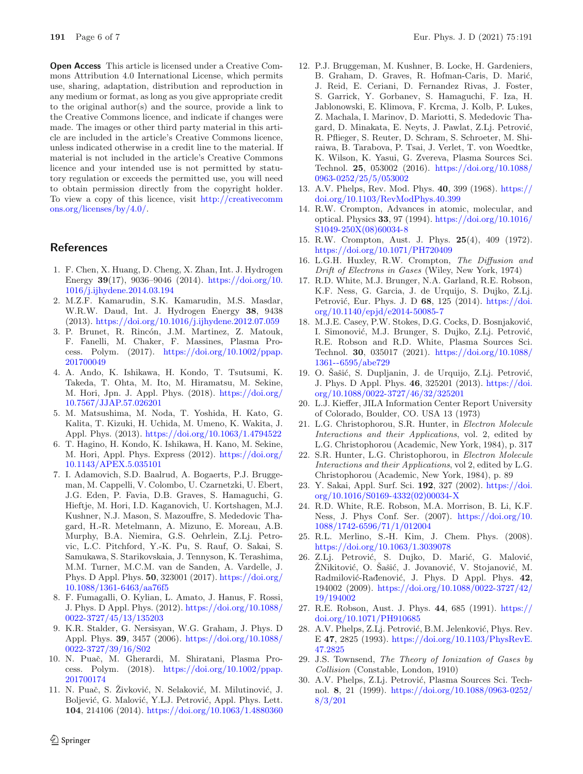**Open Access** This article is licensed under a Creative Commons Attribution 4.0 International License, which permits use, sharing, adaptation, distribution and reproduction in any medium or format, as long as you give appropriate credit to the original author(s) and the source, provide a link to the Creative Commons licence, and indicate if changes were made. The images or other third party material in this article are included in the article's Creative Commons licence, unless indicated otherwise in a credit line to the material. If material is not included in the article's Creative Commons licence and your intended use is not permitted by statutory regulation or exceeds the permitted use, you will need to obtain permission directly from the copyright holder. To view a copy of this licence, visit [http://creativecomm](http://creativecommons.org/licenses/by/4.0/) [ons.org/licenses/by/4.0/.](http://creativecommons.org/licenses/by/4.0/)

#### **References**

- <span id="page-5-0"></span>1. F. Chen, X. Huang, D. Cheng, X. Zhan, Int. J. Hydrogen Energy **39**(17), 9036–9046 (2014). [https://doi.org/10.](https://doi.org/10.1016/j.ijhydene.2014.03.194) [1016/j.ijhydene.2014.03.194](https://doi.org/10.1016/j.ijhydene.2014.03.194)
- <span id="page-5-1"></span>2. M.Z.F. Kamarudin, S.K. Kamarudin, M.S. Masdar, W.R.W. Daud, Int. J. Hydrogen Energy **38**, 9438 (2013). <https://doi.org/10.1016/j.ijhydene.2012.07.059>
- <span id="page-5-2"></span>3. P. Brunet, R. Rincón, J.M. Martinez, Z. Matouk, F. Fanelli, M. Chaker, F. Massines, Plasma Process. Polym.  $(2017)$ . [https://doi.org/10.1002/ppap.](https://doi.org/10.1002/ppap.201700049) [201700049](https://doi.org/10.1002/ppap.201700049)
- <span id="page-5-3"></span>4. A. Ando, K. Ishikawa, H. Kondo, T. Tsutsumi, K. Takeda, T. Ohta, M. Ito, M. Hiramatsu, M. Sekine, M. Hori, Jpn. J. Appl. Phys. (2018). [https://doi.org/](https://doi.org/10.7567/JJAP.57.026201) [10.7567/JJAP.57.026201](https://doi.org/10.7567/JJAP.57.026201)
- 5. M. Matsushima, M. Noda, T. Yoshida, H. Kato, G. Kalita, T. Kizuki, H. Uchida, M. Umeno, K. Wakita, J. Appl. Phys. (2013). <https://doi.org/10.1063/1.4794522>
- <span id="page-5-4"></span>6. T. Hagino, H. Kondo, K. Ishikawa, H. Kano, M. Sekine, M. Hori, Appl. Phys. Express (2012). [https://doi.org/](https://doi.org/10.1143/APEX.5.035101) [10.1143/APEX.5.035101](https://doi.org/10.1143/APEX.5.035101)
- <span id="page-5-5"></span>7. I. Adamovich, S.D. Baalrud, A. Bogaerts, P.J. Bruggeman, M. Cappelli, V. Colombo, U. Czarnetzki, U. Ebert, J.G. Eden, P. Favia, D.B. Graves, S. Hamaguchi, G. Hieftje, M. Hori, I.D. Kaganovich, U. Kortshagen, M.J. Kushner, N.J. Mason, S. Mazouffre, S. Mededovic Thagard, H.-R. Metelmann, A. Mizuno, E. Moreau, A.B. Murphy, B.A. Niemira, G.S. Oehrlein, Z.Lj. Petrovic, L.C. Pitchford, Y.-K. Pu, S. Rauf, O. Sakai, S. Samukawa, S. Starikovskaia, J. Tennyson, K. Terashima, M.M. Turner, M.C.M. van de Sanden, A. Vardelle, J. Phys. D Appl. Phys. **50**, 323001 (2017). [https://doi.org/](https://doi.org/10.1088/1361-6463/aa76f5) [10.1088/1361-6463/aa76f5](https://doi.org/10.1088/1361-6463/aa76f5)
- <span id="page-5-6"></span>8. F. Fumagalli, O. Kylian, L. Amato, J. Hanus, F. Rossi, J. Phys. D Appl. Phys. (2012). [https://doi.org/10.1088/](https://doi.org/10.1088/0022-3727/45/13/135203) [0022-3727/45/13/135203](https://doi.org/10.1088/0022-3727/45/13/135203)
- <span id="page-5-7"></span>9. K.R. Stalder, G. Nersisyan, W.G. Graham, J. Phys. D Appl. Phys. **39**, 3457 (2006). [https://doi.org/10.1088/](https://doi.org/10.1088/0022-3727/39/16/S02) [0022-3727/39/16/S02](https://doi.org/10.1088/0022-3727/39/16/S02)
- <span id="page-5-8"></span>10. N. Puaˇc, M. Gherardi, M. Shiratani, Plasma Process. Polym.  $(2018)$ . [https://doi.org/10.1002/ppap.](https://doi.org/10.1002/ppap.201700174) [201700174](https://doi.org/10.1002/ppap.201700174)
- <span id="page-5-9"></span>11. N. Puač, S. Živković, N. Selaković, M. Milutinović, J. Boljević, G. Malović, Y.LJ. Petrović, Appl. Phys. Lett. **104**, 214106 (2014). <https://doi.org/10.1063/1.4880360>
- <span id="page-5-10"></span>12. P.J. Bruggeman, M. Kushner, B. Locke, H. Gardeniers, B. Graham, D. Graves, R. Hofman-Caris, D. Marić, J. Reid, E. Ceriani, D. Fernandez Rivas, J. Foster, S. Garrick, Y. Gorbanev, S. Hamaguchi, F. Iza, H. Jablonowski, E. Klimova, F. Krcma, J. Kolb, P. Lukes, Z. Machala, I. Marinov, D. Mariotti, S. Mededovic Thagard, D. Minakata, E. Neyts, J. Pawlat, Z.Lj. Petrović, R. Pflieger, S. Reuter, D. Schram, S. Schroeter, M. Shiraiwa, B. Tarabova, P. Tsai, J. Verlet, T. von Woedtke, K. Wilson, K. Yasui, G. Zvereva, Plasma Sources Sci. Technol. **25**, 053002 (2016). [https://doi.org/10.1088/](https://doi.org/10.1088/0963-0252/25/5/053002) [0963-0252/25/5/053002](https://doi.org/10.1088/0963-0252/25/5/053002)
- <span id="page-5-11"></span>13. A.V. Phelps, Rev. Mod. Phys. **40**, 399 (1968). [https://](https://doi.org/10.1103/RevModPhys.40.399) [doi.org/10.1103/RevModPhys.40.399](https://doi.org/10.1103/RevModPhys.40.399)
- 14. R.W. Crompton, Advances in atomic, molecular, and optical. Physics **33**, 97 (1994). [https://doi.org/10.1016/](https://doi.org/10.1016/S1049-250X(08)60034-8) [S1049-250X\(08\)60034-8](https://doi.org/10.1016/S1049-250X(08)60034-8)
- 15. R.W. Crompton, Aust. J. Phys. **25**(4), 409 (1972). <https://doi.org/10.1071/PH720409>
- <span id="page-5-12"></span>16. L.G.H. Huxley, R.W. Crompton, The Diffusion and Drift of Electrons in Gases (Wiley, New York, 1974)
- <span id="page-5-13"></span>17. R.D. White, M.J. Brunger, N.A. Garland, R.E. Robson, K.F. Ness, G. Garcia, J. de Urquijo, S. Dujko, Z.Lj. Petrović, Eur. Phys. J. D 68, 125 (2014). [https://doi.](https://doi.org/10.1140/epjd/e2014-50085-7) [org/10.1140/epjd/e2014-50085-7](https://doi.org/10.1140/epjd/e2014-50085-7)
- <span id="page-5-14"></span>18. M.J.E. Casey, P.W. Stokes, D.G. Cocks, D. Bosnjaković, I. Simonović, M.J. Brunger, S. Dujko, Z.Lj. Petrović, R.E. Robson and R.D. White, Plasma Sources Sci. Technol. **30**, 035017 (2021). [https://doi.org/10.1088/](https://doi.org/10.1088/1361--6595/abe729) [1361--6595/abe729](https://doi.org/10.1088/1361--6595/abe729)
- <span id="page-5-15"></span>19. O. Šašić, S. Dupljanin, J. de Urquijo, Z.Lj. Petrović, J. Phys. D Appl. Phys. **46**, 325201 (2013). [https://doi.](https://doi.org/10.1088/0022-3727/46/32/325201) [org/10.1088/0022-3727/46/32/325201](https://doi.org/10.1088/0022-3727/46/32/325201)
- <span id="page-5-16"></span>20. L.J. Kieffer, JILA Information Center Report University of Colorado, Boulder, CO. USA 13 (1973)
- 21. L.G. Christophorou, S.R. Hunter, in Electron Molecule Interactions and their Applications, vol. 2, edited by L.G. Christophorou (Academic, New York, 1984), p. 317
- 22. S.R. Hunter, L.G. Christophorou, in Electron Molecule Interactions and their Applications, vol 2, edited by L.G. Christophorou (Academic, New York, 1984), p. 89
- 23. Y. Sakai, Appl. Surf. Sci. **192**, 327 (2002). [https://doi.](https://doi.org/10.1016/S0169-4332(02)00034-X) [org/10.1016/S0169-4332\(02\)00034-X](https://doi.org/10.1016/S0169-4332(02)00034-X)
- <span id="page-5-17"></span>24. R.D. White, R.E. Robson, M.A. Morrison, B. Li, K.F. Ness, J. Phys Conf. Ser. (2007). [https://doi.org/10.](https://doi.org/10.1088/1742-6596/71/1/012004) [1088/1742-6596/71/1/012004](https://doi.org/10.1088/1742-6596/71/1/012004)
- <span id="page-5-18"></span>25. R.L. Merlino, S.-H. Kim, J. Chem. Phys. (2008). <https://doi.org/10.1063/1.3039078>
- <span id="page-5-19"></span>26. Z.Lj. Petrović, S. Dujko, D. Marić, G. Malović, ŽNikitović, O. Šašić, J. Jovanović, V. Stojanović, M. Radmilović-Rađenović, J. Phys. D Appl. Phys. 42, 194002 (2009). [https://doi.org/10.1088/0022-3727/42/](https://doi.org/10.1088/0022-3727/42/19/194002) [19/194002](https://doi.org/10.1088/0022-3727/42/19/194002)
- <span id="page-5-20"></span>27. R.E. Robson, Aust. J. Phys. **44**, 685 (1991). [https://](https://doi.org/10.1071/PH910685) [doi.org/10.1071/PH910685](https://doi.org/10.1071/PH910685)
- <span id="page-5-21"></span>28. A.V. Phelps, Z.Lj. Petrović, B.M. Jelenković, Phys. Rev. E **47**, 2825 (1993). [https://doi.org/10.1103/PhysRevE.](https://doi.org/10.1103/PhysRevE.47.2825) [47.2825](https://doi.org/10.1103/PhysRevE.47.2825)
- 29. J.S. Townsend, The Theory of Ionization of Gases by Collision (Constable, London, 1910)
- <span id="page-5-22"></span>30. A.V. Phelps, Z.Lj. Petrović, Plasma Sources Sci. Technol. **8**, 21 (1999). [https://doi.org/10.1088/0963-0252/](https://doi.org/10.1088/0963-0252/8/3/201) [8/3/201](https://doi.org/10.1088/0963-0252/8/3/201)